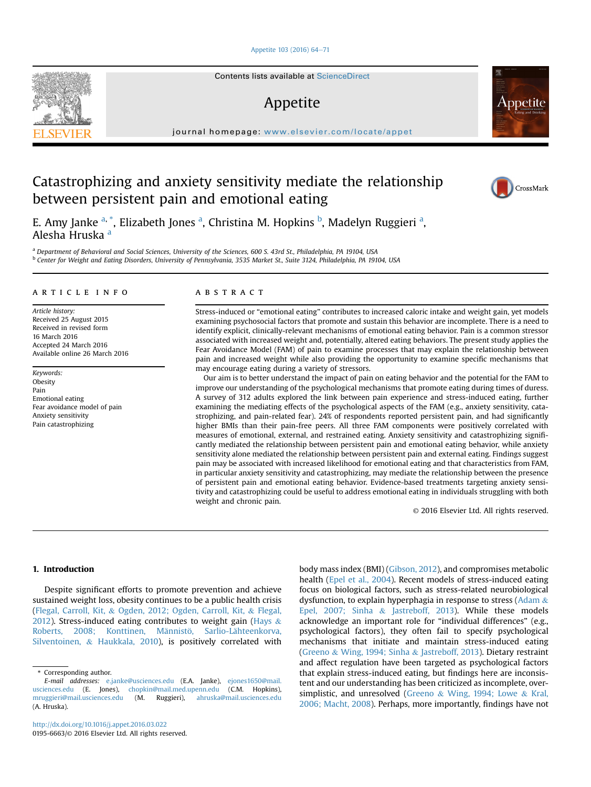#### [Appetite 103 \(2016\) 64](http://dx.doi.org/10.1016/j.appet.2016.03.022)-[71](http://dx.doi.org/10.1016/j.appet.2016.03.022)

Contents lists available at ScienceDirect

# Appetite

journal homepage: <www.elsevier.com/locate/appet>

# Catastrophizing and anxiety sensitivity mediate the relationship between persistent pain and emotional eating

E. Amy Janke <sup>a, \*</sup>, Elizabeth Jones <sup>a</sup>, Christina M. Hopkins <sup>b</sup>, Madelyn Ruggieri <sup>a</sup>, Alesha Hruska <sup>a</sup>

<sup>a</sup> Department of Behavioral and Social Sciences, University of the Sciences, 600 S. 43rd St., Philadelphia, PA 19104, USA <sup>b</sup> Center for Weight and Eating Disorders, University of Pennsylvania, 3535 Market St., Suite 3124, Philadelphia, PA 19104, USA

## article info

Article history: Received 25 August 2015 Received in revised form 16 March 2016 Accepted 24 March 2016 Available online 26 March 2016

Keywords: **Obesity** Pain Emotional eating Fear avoidance model of pain Anxiety sensitivity Pain catastrophizing

### **ABSTRACT**

Stress-induced or "emotional eating" contributes to increased caloric intake and weight gain, yet models examining psychosocial factors that promote and sustain this behavior are incomplete. There is a need to identify explicit, clinically-relevant mechanisms of emotional eating behavior. Pain is a common stressor associated with increased weight and, potentially, altered eating behaviors. The present study applies the Fear Avoidance Model (FAM) of pain to examine processes that may explain the relationship between pain and increased weight while also providing the opportunity to examine specific mechanisms that may encourage eating during a variety of stressors.

Our aim is to better understand the impact of pain on eating behavior and the potential for the FAM to improve our understanding of the psychological mechanisms that promote eating during times of duress. A survey of 312 adults explored the link between pain experience and stress-induced eating, further examining the mediating effects of the psychological aspects of the FAM (e.g., anxiety sensitivity, catastrophizing, and pain-related fear). 24% of respondents reported persistent pain, and had significantly higher BMIs than their pain-free peers. All three FAM components were positively correlated with measures of emotional, external, and restrained eating. Anxiety sensitivity and catastrophizing significantly mediated the relationship between persistent pain and emotional eating behavior, while anxiety sensitivity alone mediated the relationship between persistent pain and external eating. Findings suggest pain may be associated with increased likelihood for emotional eating and that characteristics from FAM, in particular anxiety sensitivity and catastrophizing, may mediate the relationship between the presence of persistent pain and emotional eating behavior. Evidence-based treatments targeting anxiety sensitivity and catastrophizing could be useful to address emotional eating in individuals struggling with both weight and chronic pain.

© 2016 Elsevier Ltd. All rights reserved.

# 1. Introduction

Despite significant efforts to promote prevention and achieve sustained weight loss, obesity continues to be a public health crisis (Flegal, Carroll, Kit, & Ogden, 2012; Ogden, Carroll, Kit, & Flegal, 2012). Stress-induced eating contributes to weight gain (Hays  $\&$ Roberts, 2008; Konttinen, Männistö, Sarlio-Lähteenkorva, Silventoinen, & Haukkala, 2010), is positively correlated with

\* Corresponding author.

body mass index (BMI) (Gibson, 2012), and compromises metabolic health (Epel et al., 2004). Recent models of stress-induced eating focus on biological factors, such as stress-related neurobiological dysfunction, to explain hyperphagia in response to stress (Adam & Epel, 2007; Sinha & Jastreboff, 2013). While these models acknowledge an important role for "individual differences" (e.g., psychological factors), they often fail to specify psychological mechanisms that initiate and maintain stress-induced eating (Greeno & Wing, 1994; Sinha & Jastreboff, 2013). Dietary restraint and affect regulation have been targeted as psychological factors that explain stress-induced eating, but findings here are inconsistent and our understanding has been criticized as incomplete, oversimplistic, and unresolved (Greeno & Wing, 1994; Lowe & Kral, 2006; Macht, 2008). Perhaps, more importantly, findings have not







E-mail addresses: [e.janke@usciences.edu](mailto:e.janke@usciences.edu) (E.A. Janke), [ejones1650@mail.](mailto:ejones1650@mail.usciences.edu) [usciences.edu](mailto:ejones1650@mail.usciences.edu) (E. Jones), [chopkin@mail.med.upenn.edu](mailto:chopkin@mail.med.upenn.edu) (C.M. Hopkins), [mruggieri@mail.usciences.edu](mailto:mruggieri@mail.usciences.edu) (M. Ruggieri), [ahruska@mail.usciences.edu](mailto:ahruska@mail.usciences.edu) (A. Hruska).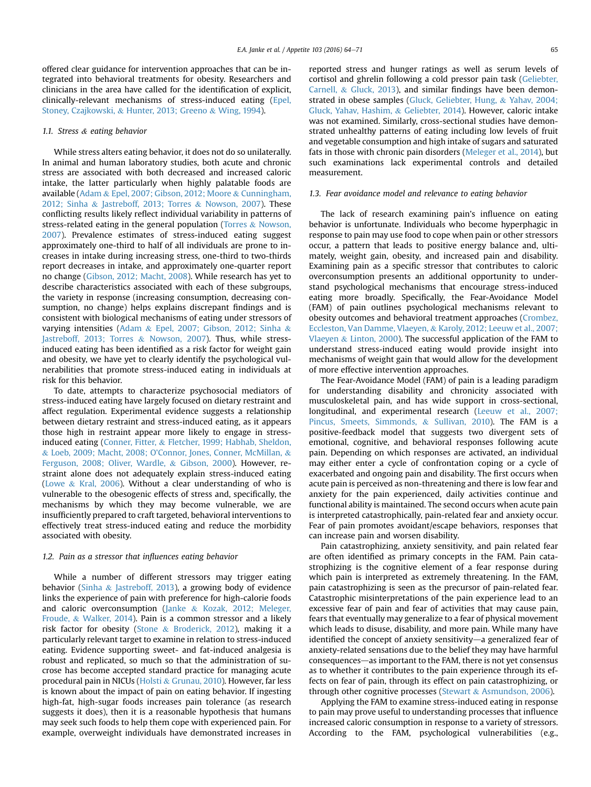offered clear guidance for intervention approaches that can be integrated into behavioral treatments for obesity. Researchers and clinicians in the area have called for the identification of explicit, clinically-relevant mechanisms of stress-induced eating (Epel, Stoney, Czajkowski, & Hunter, 2013; Greeno & Wing, 1994).

#### 1.1. Stress & eating behavior

While stress alters eating behavior, it does not do so unilaterally. In animal and human laboratory studies, both acute and chronic stress are associated with both decreased and increased caloric intake, the latter particularly when highly palatable foods are available (Adam & Epel, 2007; Gibson, 2012; Moore & Cunningham, 2012; Sinha & Jastreboff, 2013; Torres & Nowson, 2007). These conflicting results likely reflect individual variability in patterns of stress-related eating in the general population (Torres & Nowson, 2007). Prevalence estimates of stress-induced eating suggest approximately one-third to half of all individuals are prone to increases in intake during increasing stress, one-third to two-thirds report decreases in intake, and approximately one-quarter report no change (Gibson, 2012; Macht, 2008). While research has yet to describe characteristics associated with each of these subgroups, the variety in response (increasing consumption, decreasing consumption, no change) helps explains discrepant findings and is consistent with biological mechanisms of eating under stressors of varying intensities (Adam & Epel, 2007; Gibson, 2012; Sinha & Jastreboff, 2013; Torres & Nowson, 2007). Thus, while stressinduced eating has been identified as a risk factor for weight gain and obesity, we have yet to clearly identify the psychological vulnerabilities that promote stress-induced eating in individuals at risk for this behavior.

To date, attempts to characterize psychosocial mediators of stress-induced eating have largely focused on dietary restraint and affect regulation. Experimental evidence suggests a relationship between dietary restraint and stress-induced eating, as it appears those high in restraint appear more likely to engage in stressinduced eating (Conner, Fitter, & Fletcher, 1999; Habhab, Sheldon, & Loeb, 2009; Macht, 2008; O'Connor, Jones, Conner, McMillan, & Ferguson, 2008; Oliver, Wardle, & Gibson, 2000). However, restraint alone does not adequately explain stress-induced eating (Lowe & Kral, 2006). Without a clear understanding of who is vulnerable to the obesogenic effects of stress and, specifically, the mechanisms by which they may become vulnerable, we are insufficiently prepared to craft targeted, behavioral interventions to effectively treat stress-induced eating and reduce the morbidity associated with obesity.

# 1.2. Pain as a stressor that influences eating behavior

While a number of different stressors may trigger eating behavior (Sinha & Jastreboff, 2013), a growing body of evidence links the experience of pain with preference for high-calorie foods and caloric overconsumption (Janke & Kozak, 2012; Meleger, Froude, & Walker, 2014). Pain is a common stressor and a likely risk factor for obesity (Stone & Broderick, 2012), making it a particularly relevant target to examine in relation to stress-induced eating. Evidence supporting sweet- and fat-induced analgesia is robust and replicated, so much so that the administration of sucrose has become accepted standard practice for managing acute procedural pain in NICUs (Holsti & Grunau, 2010). However, far less is known about the impact of pain on eating behavior. If ingesting high-fat, high-sugar foods increases pain tolerance (as research suggests it does), then it is a reasonable hypothesis that humans may seek such foods to help them cope with experienced pain. For example, overweight individuals have demonstrated increases in reported stress and hunger ratings as well as serum levels of cortisol and ghrelin following a cold pressor pain task (Geliebter, Carnell, & Gluck, 2013), and similar findings have been demonstrated in obese samples (Gluck, Geliebter, Hung, & Yahav, 2004; Gluck, Yahav, Hashim, & Geliebter, 2014). However, caloric intake was not examined. Similarly, cross-sectional studies have demonstrated unhealthy patterns of eating including low levels of fruit and vegetable consumption and high intake of sugars and saturated fats in those with chronic pain disorders (Meleger et al., 2014), but such examinations lack experimental controls and detailed measurement.

#### 1.3. Fear avoidance model and relevance to eating behavior

The lack of research examining pain's influence on eating behavior is unfortunate. Individuals who become hyperphagic in response to pain may use food to cope when pain or other stressors occur, a pattern that leads to positive energy balance and, ultimately, weight gain, obesity, and increased pain and disability. Examining pain as a specific stressor that contributes to caloric overconsumption presents an additional opportunity to understand psychological mechanisms that encourage stress-induced eating more broadly. Specifically, the Fear-Avoidance Model (FAM) of pain outlines psychological mechanisms relevant to obesity outcomes and behavioral treatment approaches (Crombez, Eccleston, Van Damme, Vlaeyen, & Karoly, 2012; Leeuw et al., 2007; Vlaeyen & Linton, 2000). The successful application of the FAM to understand stress-induced eating would provide insight into mechanisms of weight gain that would allow for the development of more effective intervention approaches.

The Fear-Avoidance Model (FAM) of pain is a leading paradigm for understanding disability and chronicity associated with musculoskeletal pain, and has wide support in cross-sectional, longitudinal, and experimental research (Leeuw et al., 2007; Pincus, Smeets, Simmonds, & Sullivan, 2010). The FAM is a positive-feedback model that suggests two divergent sets of emotional, cognitive, and behavioral responses following acute pain. Depending on which responses are activated, an individual may either enter a cycle of confrontation coping or a cycle of exacerbated and ongoing pain and disability. The first occurs when acute pain is perceived as non-threatening and there is low fear and anxiety for the pain experienced, daily activities continue and functional ability is maintained. The second occurs when acute pain is interpreted catastrophically, pain-related fear and anxiety occur. Fear of pain promotes avoidant/escape behaviors, responses that can increase pain and worsen disability.

Pain catastrophizing, anxiety sensitivity, and pain related fear are often identified as primary concepts in the FAM. Pain catastrophizing is the cognitive element of a fear response during which pain is interpreted as extremely threatening. In the FAM, pain catastrophizing is seen as the precursor of pain-related fear. Catastrophic misinterpretations of the pain experience lead to an excessive fear of pain and fear of activities that may cause pain, fears that eventually may generalize to a fear of physical movement which leads to disuse, disability, and more pain. While many have identified the concept of anxiety sensitivity—a generalized fear of anxiety-related sensations due to the belief they may have harmful consequences—as important to the FAM, there is not yet consensus as to whether it contributes to the pain experience through its effects on fear of pain, through its effect on pain catastrophizing, or through other cognitive processes (Stewart & Asmundson, 2006).

Applying the FAM to examine stress-induced eating in response to pain may prove useful to understanding processes that influence increased caloric consumption in response to a variety of stressors. According to the FAM, psychological vulnerabilities (e.g.,